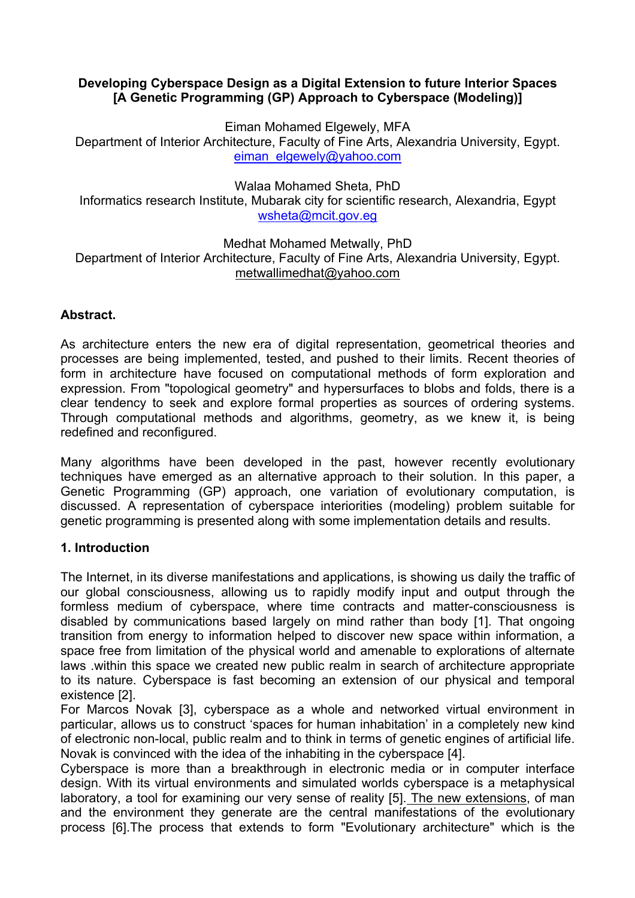## **Developing Cyberspace Design as a Digital Extension to future Interior Spaces [A Genetic Programming (GP) Approach to Cyberspace (Modeling)]**

Eiman Mohamed Elgewely, MFA

Department of Interior Architecture, Faculty of Fine Arts, Alexandria University, Egypt. eiman\_elgewely@yahoo.com

Walaa Mohamed Sheta, PhD

Informatics research Institute, Mubarak city for scientific research, Alexandria, Egypt wsheta@mcit.gov.eg

Medhat Mohamed Metwally, PhD Department of Interior Architecture, Faculty of Fine Arts, Alexandria University, Egypt. metwallimedhat@yahoo.com

# **Abstract.**

As architecture enters the new era of digital representation, geometrical theories and processes are being implemented, tested, and pushed to their limits. Recent theories of form in architecture have focused on computational methods of form exploration and expression. From "topological geometry" and hypersurfaces to blobs and folds, there is a clear tendency to seek and explore formal properties as sources of ordering systems. Through computational methods and algorithms, geometry, as we knew it, is being redefined and reconfigured.

Many algorithms have been developed in the past, however recently evolutionary techniques have emerged as an alternative approach to their solution. In this paper, a Genetic Programming (GP) approach, one variation of evolutionary computation, is discussed. A representation of cyberspace interiorities (modeling) problem suitable for genetic programming is presented along with some implementation details and results.

# **1. Introduction**

The Internet, in its diverse manifestations and applications, is showing us daily the traffic of our global consciousness, allowing us to rapidly modify input and output through the formless medium of cyberspace, where time contracts and matter-consciousness is disabled by communications based largely on mind rather than body [1]. That ongoing transition from energy to information helped to discover new space within information, a space free from limitation of the physical world and amenable to explorations of alternate laws .within this space we created new public realm in search of architecture appropriate to its nature. Cyberspace is fast becoming an extension of our physical and temporal existence [2].

For Marcos Novak [3], cyberspace as a whole and networked virtual environment in particular, allows us to construct 'spaces for human inhabitation' in a completely new kind of electronic non-local, public realm and to think in terms of genetic engines of artificial life. Novak is convinced with the idea of the inhabiting in the cyberspace [4].

Cyberspace is more than a breakthrough in electronic media or in computer interface design. With its virtual environments and simulated worlds cyberspace is a metaphysical laboratory, a tool for examining our very sense of reality [5]. The new extensions, of man and the environment they generate are the central manifestations of the evolutionary process [6].The process that extends to form "Evolutionary architecture" which is the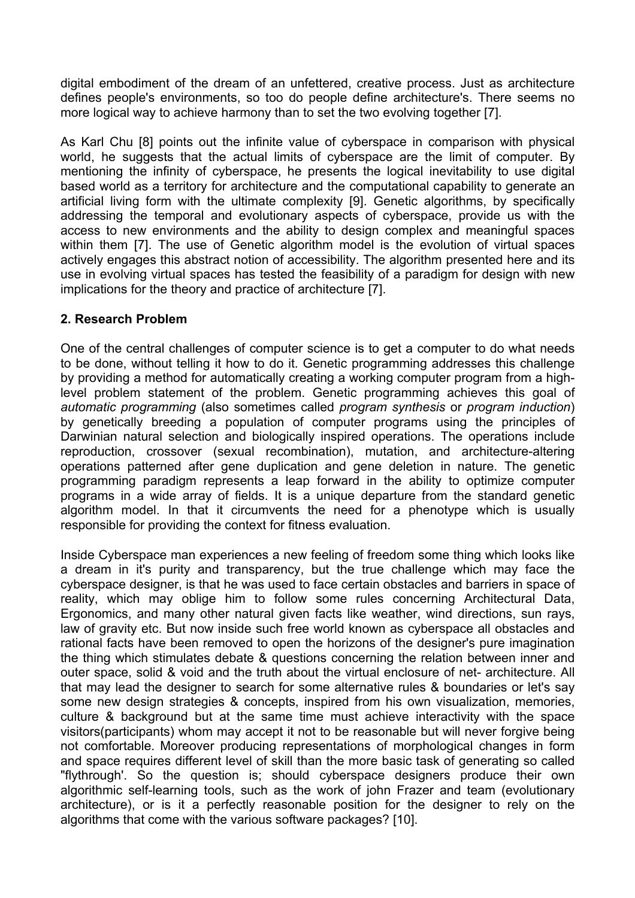digital embodiment of the dream of an unfettered, creative process. Just as architecture defines people's environments, so too do people define architecture's. There seems no more logical way to achieve harmony than to set the two evolving together [7].

As Karl Chu [8] points out the infinite value of cyberspace in comparison with physical world, he suggests that the actual limits of cyberspace are the limit of computer. By mentioning the infinity of cyberspace, he presents the logical inevitability to use digital based world as a territory for architecture and the computational capability to generate an artificial living form with the ultimate complexity [9]. Genetic algorithms, by specifically addressing the temporal and evolutionary aspects of cyberspace, provide us with the access to new environments and the ability to design complex and meaningful spaces within them [7]. The use of Genetic algorithm model is the evolution of virtual spaces actively engages this abstract notion of accessibility. The algorithm presented here and its use in evolving virtual spaces has tested the feasibility of a paradigm for design with new implications for the theory and practice of architecture [7].

### **2. Research Problem**

One of the central challenges of computer science is to get a computer to do what needs to be done, without telling it how to do it. Genetic programming addresses this challenge by providing a method for automatically creating a working computer program from a highlevel problem statement of the problem. Genetic programming achieves this goal of *automatic programming* (also sometimes called *program synthesis* or *program induction*) by genetically breeding a population of computer programs using the principles of Darwinian natural selection and biologically inspired operations. The operations include reproduction, crossover (sexual recombination), mutation, and architecture-altering operations patterned after gene duplication and gene deletion in nature. The genetic programming paradigm represents a leap forward in the ability to optimize computer programs in a wide array of fields. It is a unique departure from the standard genetic algorithm model. In that it circumvents the need for a phenotype which is usually responsible for providing the context for fitness evaluation.

Inside Cyberspace man experiences a new feeling of freedom some thing which looks like a dream in it's purity and transparency, but the true challenge which may face the cyberspace designer, is that he was used to face certain obstacles and barriers in space of reality, which may oblige him to follow some rules concerning Architectural Data, Ergonomics, and many other natural given facts like weather, wind directions, sun rays, law of gravity etc. But now inside such free world known as cyberspace all obstacles and rational facts have been removed to open the horizons of the designer's pure imagination the thing which stimulates debate & questions concerning the relation between inner and outer space, solid & void and the truth about the virtual enclosure of net- architecture. All that may lead the designer to search for some alternative rules & boundaries or let's say some new design strategies & concepts, inspired from his own visualization, memories, culture & background but at the same time must achieve interactivity with the space visitors(participants) whom may accept it not to be reasonable but will never forgive being not comfortable. Moreover producing representations of morphological changes in form and space requires different level of skill than the more basic task of generating so called "flythrough'. So the question is; should cyberspace designers produce their own algorithmic self-learning tools, such as the work of john Frazer and team (evolutionary architecture), or is it a perfectly reasonable position for the designer to rely on the algorithms that come with the various software packages? [10].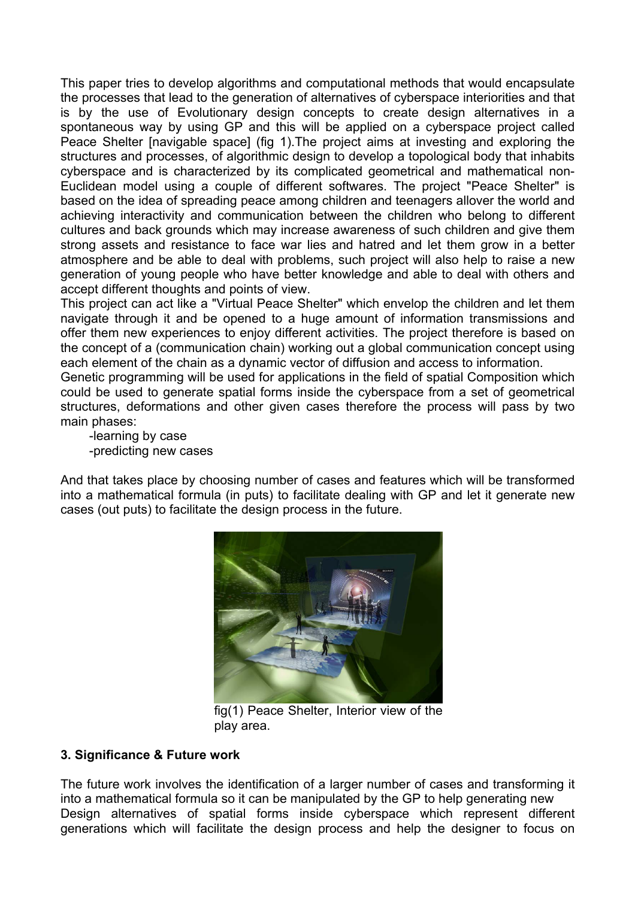This paper tries to develop algorithms and computational methods that would encapsulate the processes that lead to the generation of alternatives of cyberspace interiorities and that is by the use of Evolutionary design concepts to create design alternatives in a spontaneous way by using GP and this will be applied on a cyberspace project called Peace Shelter [navigable space] (fig 1).The project aims at investing and exploring the structures and processes, of algorithmic design to develop a topological body that inhabits cyberspace and is characterized by its complicated geometrical and mathematical non-Euclidean model using a couple of different softwares. The project "Peace Shelter" is based on the idea of spreading peace among children and teenagers allover the world and achieving interactivity and communication between the children who belong to different cultures and back grounds which may increase awareness of such children and give them strong assets and resistance to face war lies and hatred and let them grow in a better atmosphere and be able to deal with problems, such project will also help to raise a new generation of young people who have better knowledge and able to deal with others and accept different thoughts and points of view.

This project can act like a "Virtual Peace Shelter" which envelop the children and let them navigate through it and be opened to a huge amount of information transmissions and offer them new experiences to enjoy different activities. The project therefore is based on the concept of a (communication chain) working out a global communication concept using each element of the chain as a dynamic vector of diffusion and access to information.

Genetic programming will be used for applications in the field of spatial Composition which could be used to generate spatial forms inside the cyberspace from a set of geometrical structures, deformations and other given cases therefore the process will pass by two main phases:

 -learning by case -predicting new cases

And that takes place by choosing number of cases and features which will be transformed into a mathematical formula (in puts) to facilitate dealing with GP and let it generate new cases (out puts) to facilitate the design process in the future.



fig(1) Peace Shelter, Interior view of the play area.

#### **3. Significance & Future work**

The future work involves the identification of a larger number of cases and transforming it into a mathematical formula so it can be manipulated by the GP to help generating new Design alternatives of spatial forms inside cyberspace which represent different generations which will facilitate the design process and help the designer to focus on